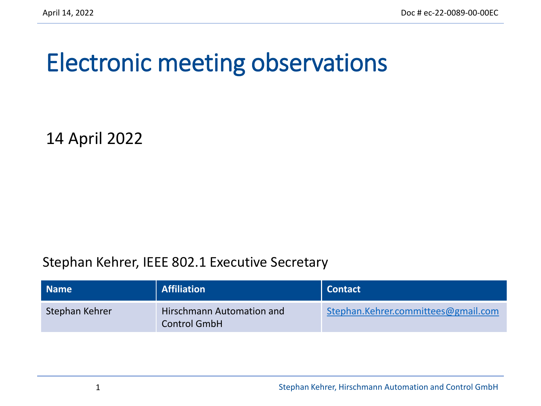## Electronic meeting observations

14 April 2022

#### Stephan Kehrer, IEEE 802.1 Executive Secretary

| <b>Name</b>    | <b>Affiliation</b>                               | Contact                             |
|----------------|--------------------------------------------------|-------------------------------------|
| Stephan Kehrer | Hirschmann Automation and<br><b>Control GmbH</b> | Stephan.Kehrer.committees@gmail.com |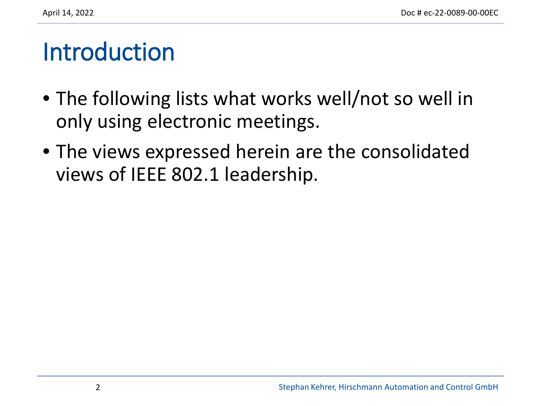#### Introduction

- The following lists what works well/not so well in only using electronic meetings.
- The views expressed herein are the consolidated views of IEEE 802.1 leadership.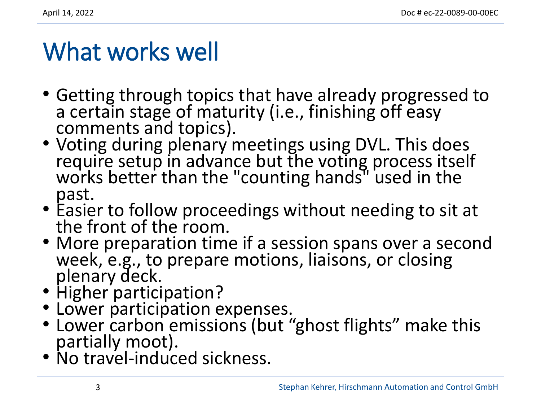### What works well

- Getting through topics that have already progressed to a certain stage of maturity (i.e., finishing off easy comments and topics).
- Voting during plenary meetings using DVL. This does require setup in advance but the voting process itself works better than the "counting hands" used in the past.
- Easier to follow proceedings without needing to sit at the front of the room.
- More preparation time if a session spans over a second week, e.g., to prepare motions, liaisons, or closing plenary deck.<br>• Higher participation?
- 
- Lower participation expenses.
- Lower carbon emissions (but "ghost flights" make this partially moot).
- No travel-induced sickness.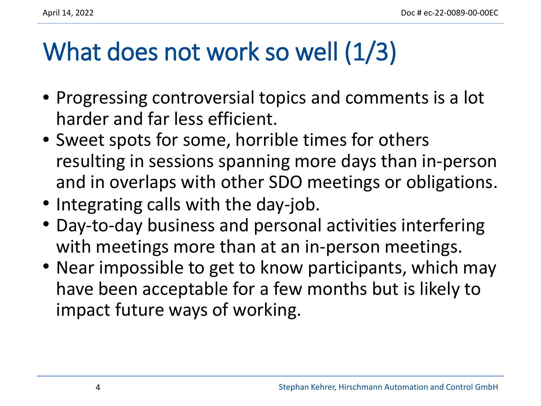## What does not work so well (1/3)

- Progressing controversial topics and comments is a lot harder and far less efficient.
- Sweet spots for some, horrible times for others resulting in sessions spanning more days than in-person and in overlaps with other SDO meetings or obligations.
- Integrating calls with the day-job.
- Day-to-day business and personal activities interfering with meetings more than at an in-person meetings.
- Near impossible to get to know participants, which may have been acceptable for a few months but is likely to impact future ways of working.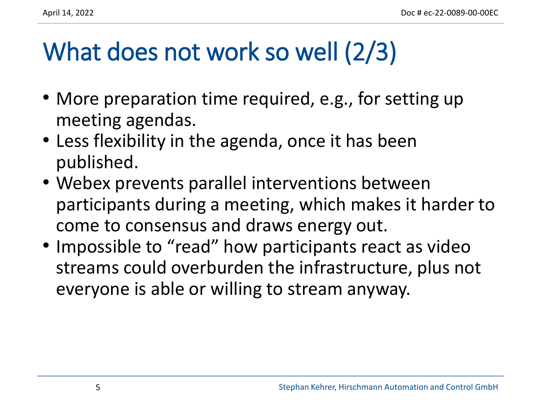# What does not work so well (2/3)

- More preparation time required, e.g., for setting up meeting agendas.
- Less flexibility in the agenda, once it has been published.
- Webex prevents parallel interventions between participants during a meeting, which makes it harder to come to consensus and draws energy out.
- Impossible to "read" how participants react as video streams could overburden the infrastructure, plus not everyone is able or willing to stream anyway.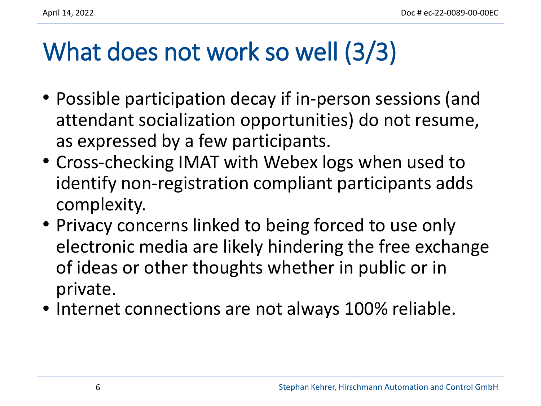## What does not work so well (3/3)

- Possible participation decay if in-person sessions (and attendant socialization opportunities) do not resume, as expressed by a few participants.
- Cross-checking IMAT with Webex logs when used to identify non-registration compliant participants adds complexity.
- Privacy concerns linked to being forced to use only electronic media are likely hindering the free exchange of ideas or other thoughts whether in public or in private.
- Internet connections are not always 100% reliable.